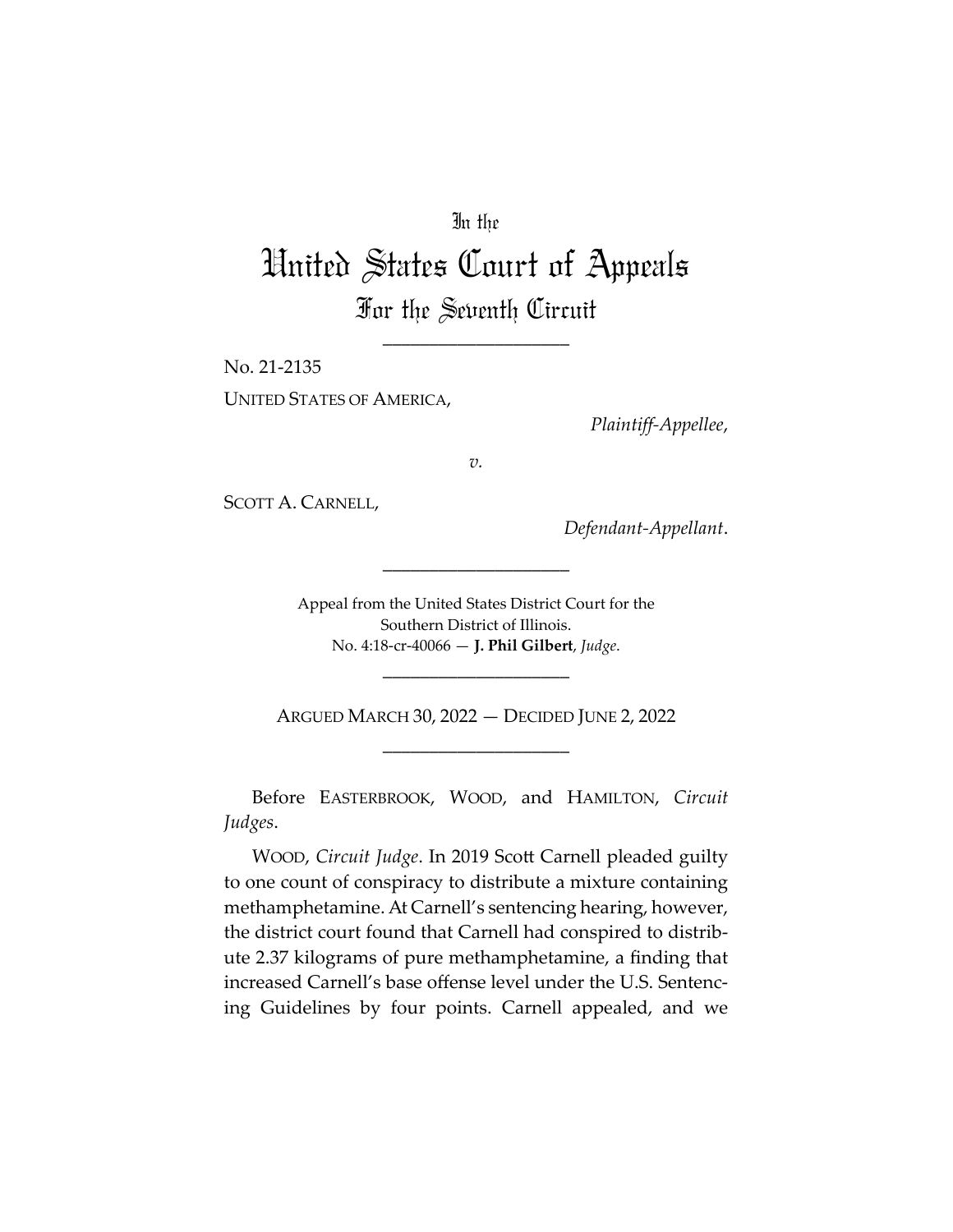# In the

# United States Court of Appeals For the Seventh Circuit

\_\_\_\_\_\_\_\_\_\_\_\_\_\_\_\_\_\_\_\_

No. 21-2135 UNITED STATES OF AMERICA,

*Plaintiff-Appellee*,

*v.*

SCOTT A. CARNELL,

*Defendant-Appellant*.

Appeal from the United States District Court for the Southern District of Illinois. No. 4:18-cr-40066 — **J. Phil Gilbert**, *Judge*.

\_\_\_\_\_\_\_\_\_\_\_\_\_\_\_\_\_\_\_\_

ARGUED MARCH 30, 2022 — DECIDED JUNE 2, 2022 \_\_\_\_\_\_\_\_\_\_\_\_\_\_\_\_\_\_\_\_

\_\_\_\_\_\_\_\_\_\_\_\_\_\_\_\_\_\_\_\_

Before EASTERBROOK, WOOD, and HAMILTON, *Circuit Judges*.

WOOD, *Circuit Judge*. In 2019 Scott Carnell pleaded guilty to one count of conspiracy to distribute a mixture containing methamphetamine. At Carnell's sentencing hearing, however, the district court found that Carnell had conspired to distribute 2.37 kilograms of pure methamphetamine, a finding that increased Carnell's base offense level under the U.S. Sentencing Guidelines by four points. Carnell appealed, and we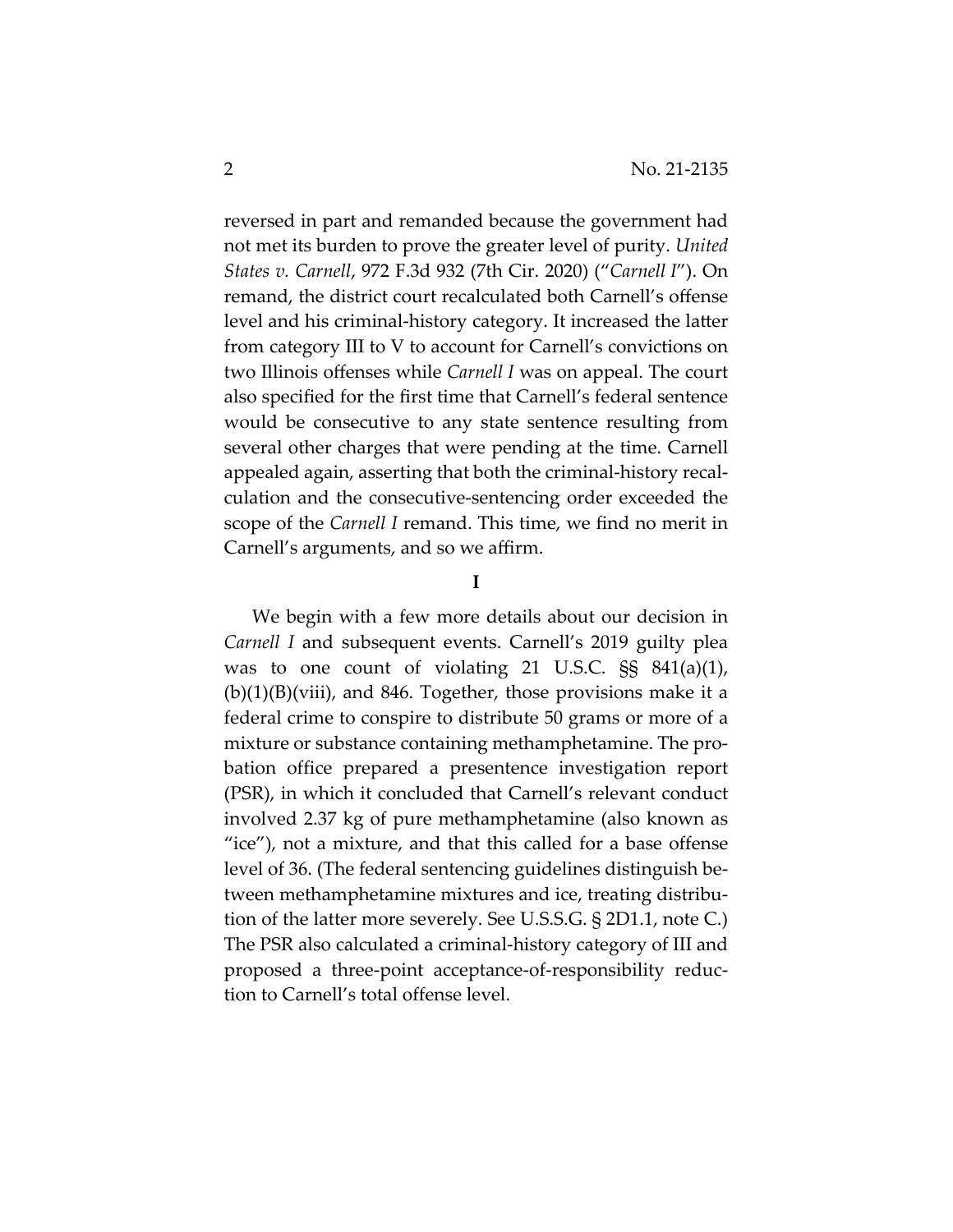reversed in part and remanded because the government had not met its burden to prove the greater level of purity. *United States v. Carnell*, 972 F.3d 932 (7th Cir. 2020) ("*Carnell I*"). On remand, the district court recalculated both Carnell's offense level and his criminal-history category. It increased the latter from category III to V to account for Carnell's convictions on two Illinois offenses while *Carnell I* was on appeal. The court also specified for the first time that Carnell's federal sentence would be consecutive to any state sentence resulting from several other charges that were pending at the time. Carnell appealed again, asserting that both the criminal-history recalculation and the consecutive-sentencing order exceeded the scope of the *Carnell I* remand. This time, we find no merit in Carnell's arguments, and so we affirm.

### **I**

We begin with a few more details about our decision in *Carnell I* and subsequent events. Carnell's 2019 guilty plea was to one count of violating 21 U.S.C. §§ 841(a)(1),  $(b)(1)(B)(viii)$ , and 846. Together, those provisions make it a federal crime to conspire to distribute 50 grams or more of a mixture or substance containing methamphetamine. The probation office prepared a presentence investigation report (PSR), in which it concluded that Carnell's relevant conduct involved 2.37 kg of pure methamphetamine (also known as "ice"), not a mixture, and that this called for a base offense level of 36. (The federal sentencing guidelines distinguish between methamphetamine mixtures and ice, treating distribution of the latter more severely. See U.S.S.G. § 2D1.1, note C.) The PSR also calculated a criminal-history category of III and proposed a three-point acceptance-of-responsibility reduction to Carnell's total offense level.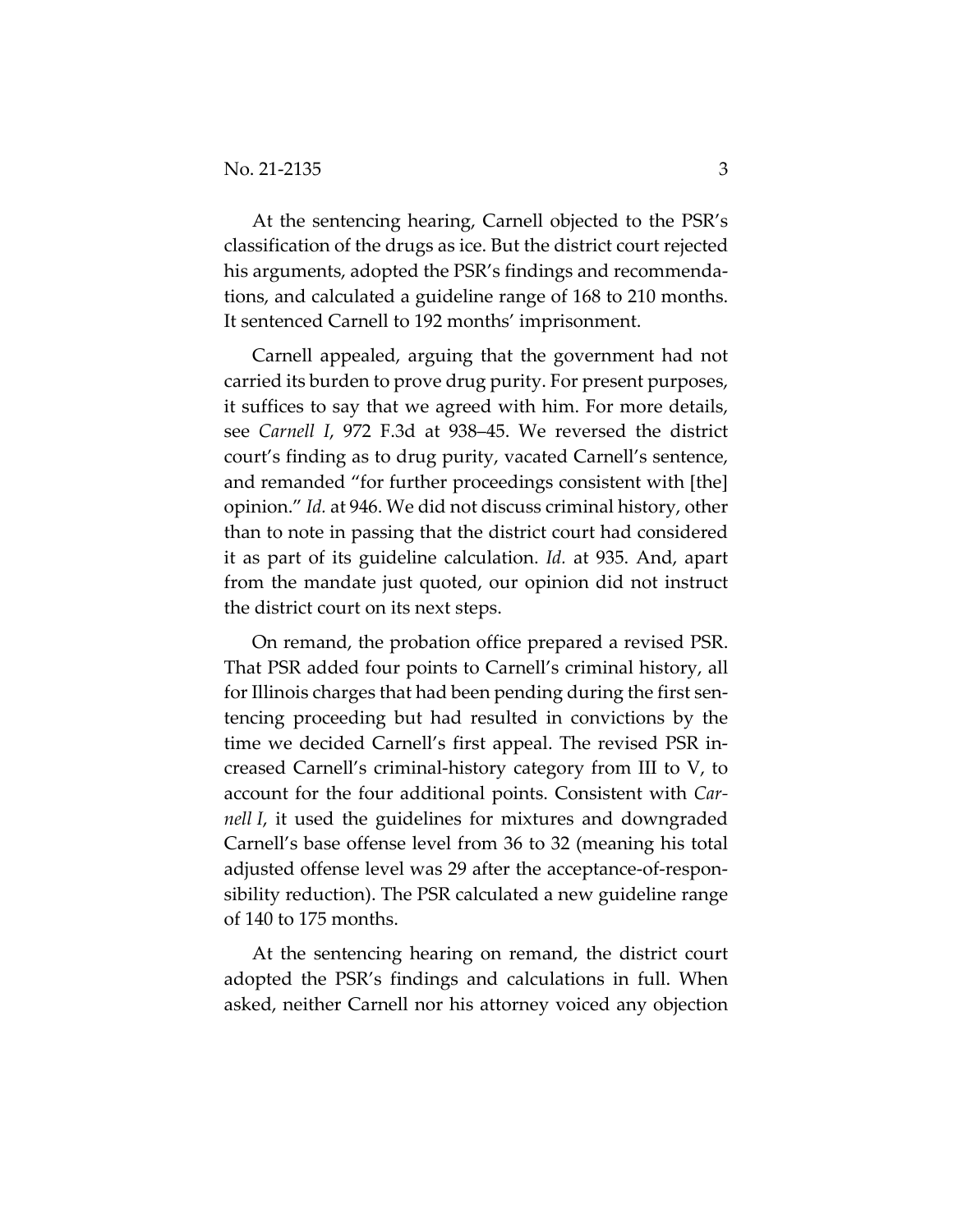At the sentencing hearing, Carnell objected to the PSR's classification of the drugs as ice. But the district court rejected his arguments, adopted the PSR's findings and recommendations, and calculated a guideline range of 168 to 210 months. It sentenced Carnell to 192 months' imprisonment.

Carnell appealed, arguing that the government had not carried its burden to prove drug purity. For present purposes, it suffices to say that we agreed with him. For more details, see *Carnell I*, 972 F.3d at 938–45. We reversed the district court's finding as to drug purity, vacated Carnell's sentence, and remanded "for further proceedings consistent with [the] opinion." *Id.* at 946. We did not discuss criminal history, other than to note in passing that the district court had considered it as part of its guideline calculation. *Id.* at 935. And, apart from the mandate just quoted, our opinion did not instruct the district court on its next steps.

On remand, the probation office prepared a revised PSR. That PSR added four points to Carnell's criminal history, all for Illinois charges that had been pending during the first sentencing proceeding but had resulted in convictions by the time we decided Carnell's first appeal. The revised PSR increased Carnell's criminal-history category from III to V, to account for the four additional points. Consistent with *Carnell I*, it used the guidelines for mixtures and downgraded Carnell's base offense level from 36 to 32 (meaning his total adjusted offense level was 29 after the acceptance-of-responsibility reduction). The PSR calculated a new guideline range of 140 to 175 months.

At the sentencing hearing on remand, the district court adopted the PSR's findings and calculations in full. When asked, neither Carnell nor his attorney voiced any objection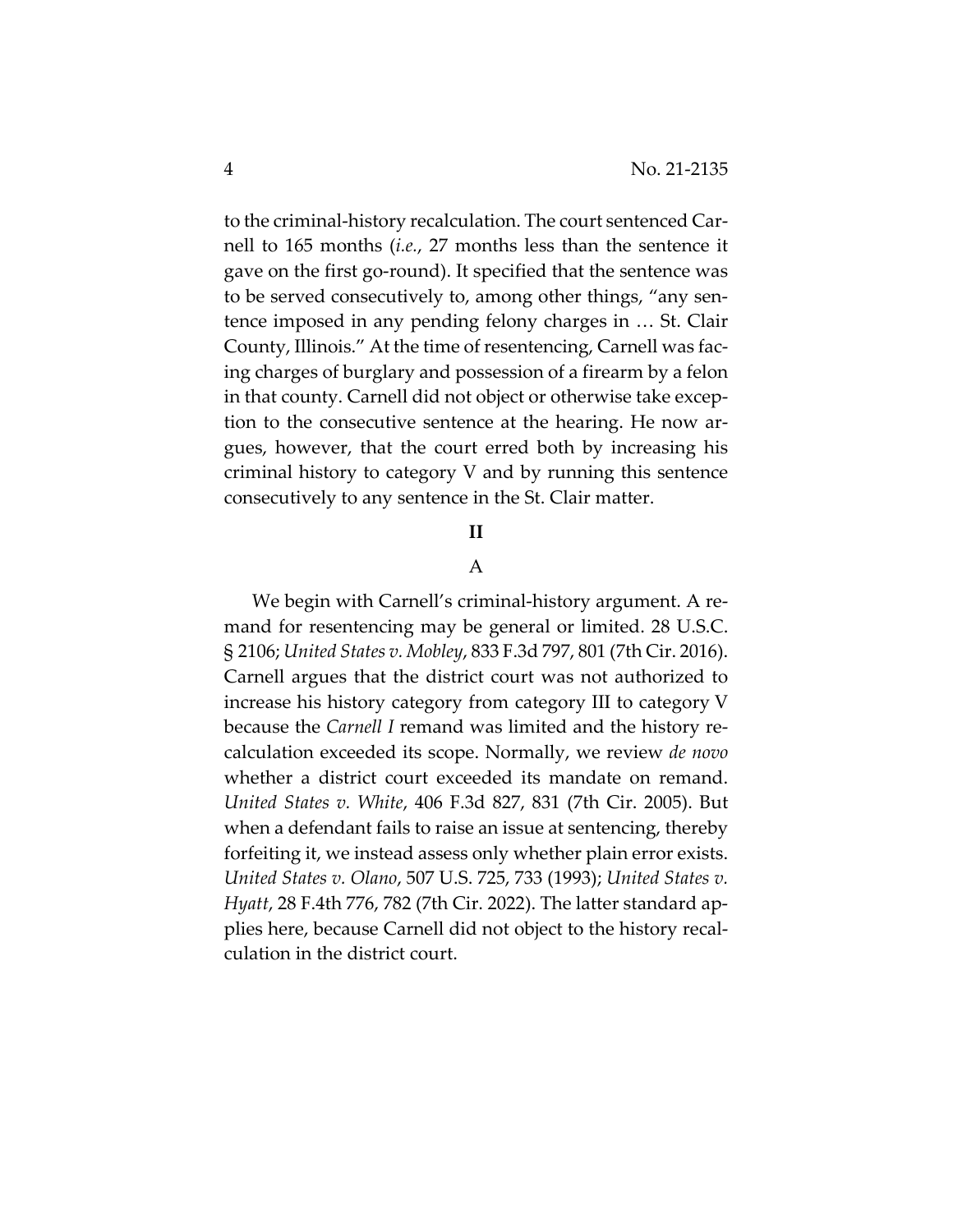to the criminal-history recalculation. The court sentenced Carnell to 165 months (*i.e.*, 27 months less than the sentence it gave on the first go-round). It specified that the sentence was to be served consecutively to, among other things, "any sentence imposed in any pending felony charges in … St. Clair County, Illinois." At the time of resentencing, Carnell was facing charges of burglary and possession of a firearm by a felon in that county. Carnell did not object or otherwise take exception to the consecutive sentence at the hearing. He now argues, however, that the court erred both by increasing his criminal history to category V and by running this sentence consecutively to any sentence in the St. Clair matter.

## **II**

### A

We begin with Carnell's criminal-history argument. A remand for resentencing may be general or limited. 28 U.S.C. § 2106; *United States v. Mobley*, 833 F.3d 797, 801 (7th Cir. 2016). Carnell argues that the district court was not authorized to increase his history category from category III to category V because the *Carnell I* remand was limited and the history recalculation exceeded its scope. Normally, we review *de novo* whether a district court exceeded its mandate on remand. *United States v. White*, 406 F.3d 827, 831 (7th Cir. 2005). But when a defendant fails to raise an issue at sentencing, thereby forfeiting it, we instead assess only whether plain error exists. *United States v. Olano*, 507 U.S. 725, 733 (1993); *United States v. Hyatt*, 28 F.4th 776, 782 (7th Cir. 2022). The latter standard applies here, because Carnell did not object to the history recalculation in the district court.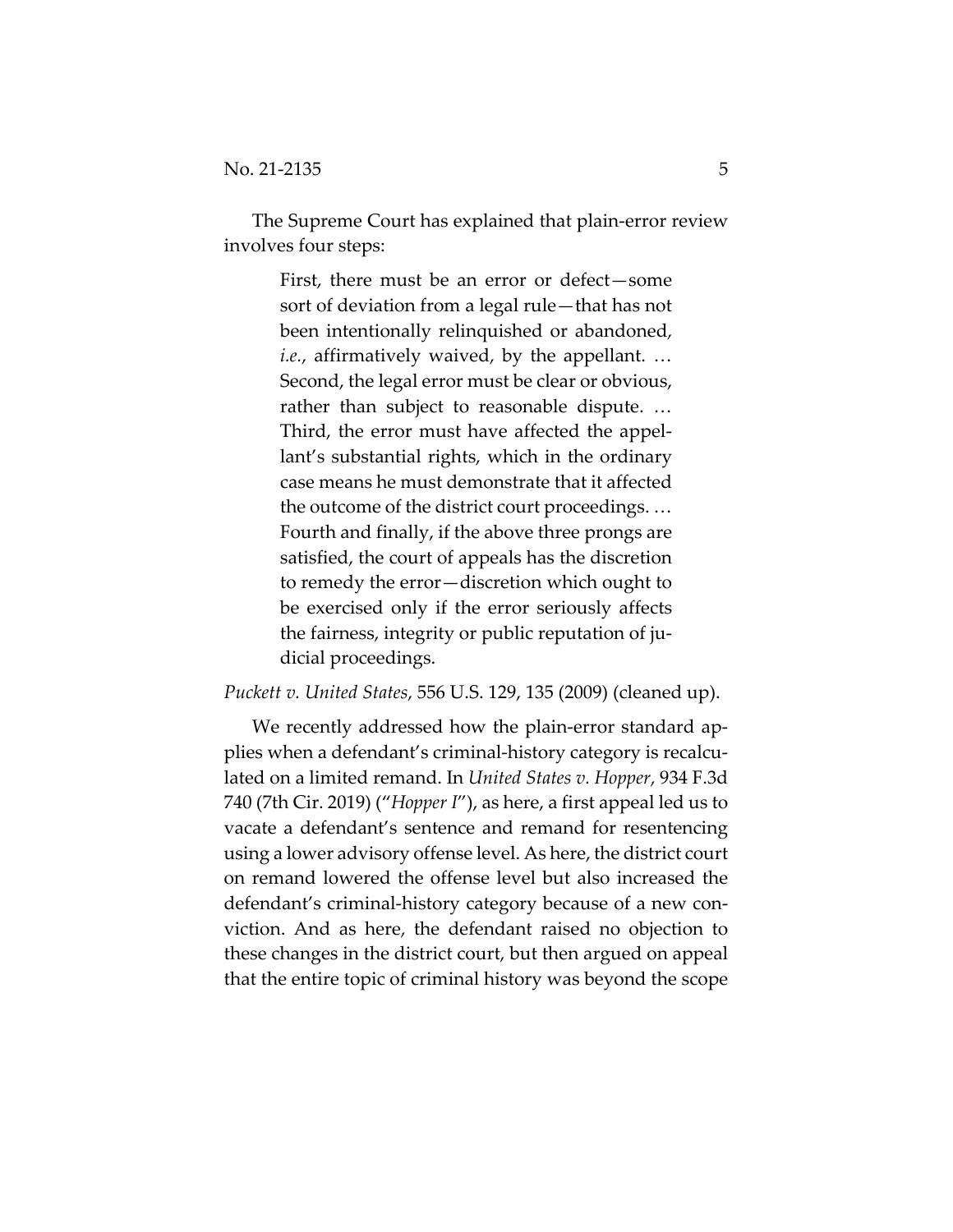The Supreme Court has explained that plain-error review involves four steps:

> First, there must be an error or defect—some sort of deviation from a legal rule—that has not been intentionally relinquished or abandoned, *i.e.*, affirmatively waived, by the appellant. … Second, the legal error must be clear or obvious, rather than subject to reasonable dispute. … Third, the error must have affected the appellant's substantial rights, which in the ordinary case means he must demonstrate that it affected the outcome of the district court proceedings. … Fourth and finally, if the above three prongs are satisfied, the court of appeals has the discretion to remedy the error—discretion which ought to be exercised only if the error seriously affects the fairness, integrity or public reputation of judicial proceedings.

*Puckett v. United States*, 556 U.S. 129, 135 (2009) (cleaned up).

We recently addressed how the plain-error standard applies when a defendant's criminal-history category is recalculated on a limited remand. In *United States v. Hopper*, 934 F.3d 740 (7th Cir. 2019) ("*Hopper I*"), as here, a first appeal led us to vacate a defendant's sentence and remand for resentencing using a lower advisory offense level. As here, the district court on remand lowered the offense level but also increased the defendant's criminal-history category because of a new conviction. And as here, the defendant raised no objection to these changes in the district court, but then argued on appeal that the entire topic of criminal history was beyond the scope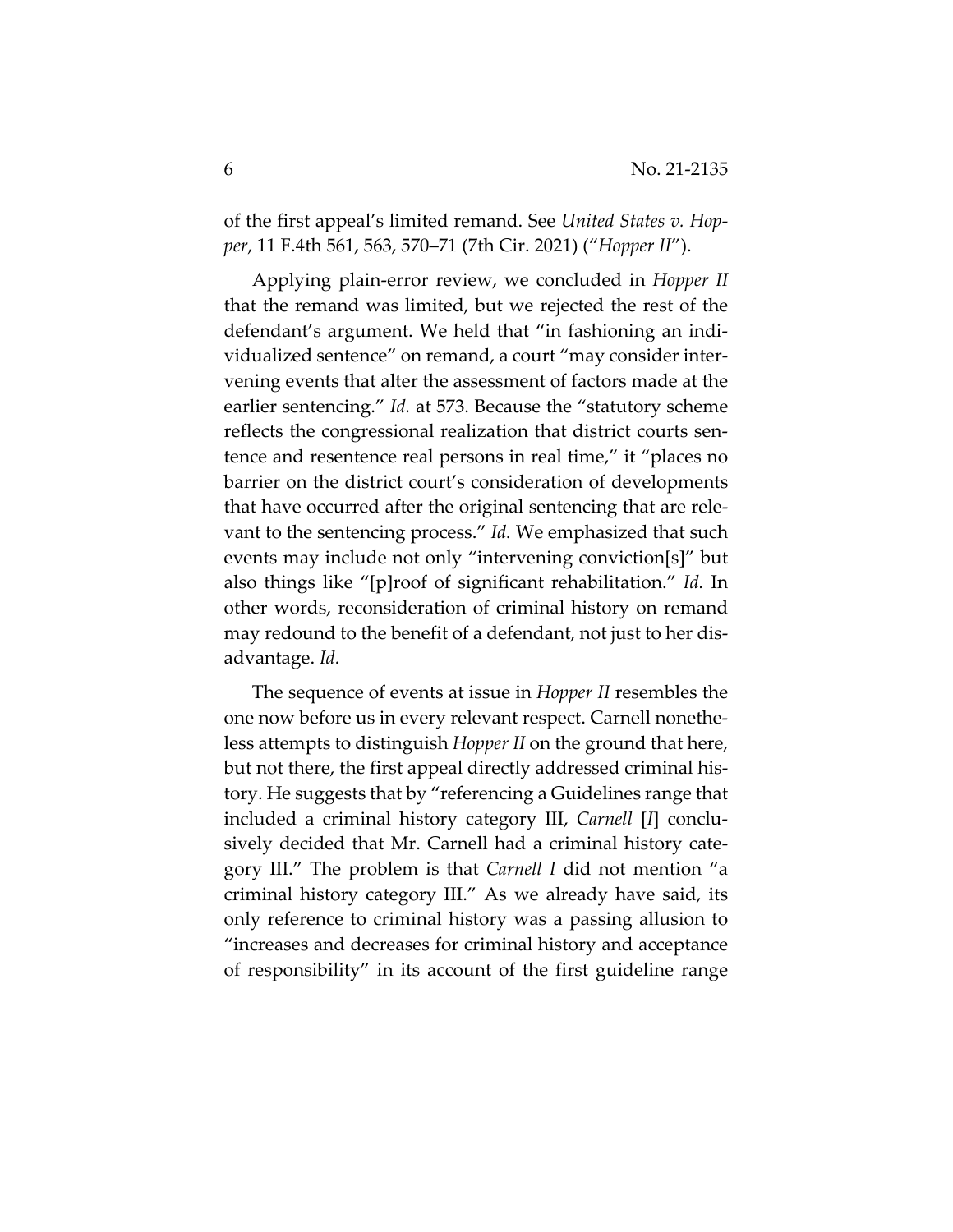of the first appeal's limited remand. See *United States v. Hopper*, 11 F.4th 561, 563, 570–71 (7th Cir. 2021) ("*Hopper II*").

Applying plain-error review, we concluded in *Hopper II* that the remand was limited, but we rejected the rest of the defendant's argument. We held that "in fashioning an individualized sentence" on remand, a court "may consider intervening events that alter the assessment of factors made at the earlier sentencing." *Id.* at 573. Because the "statutory scheme reflects the congressional realization that district courts sentence and resentence real persons in real time," it "places no barrier on the district court's consideration of developments that have occurred after the original sentencing that are relevant to the sentencing process." *Id.* We emphasized that such events may include not only "intervening conviction[s]" but also things like "[p]roof of significant rehabilitation." *Id.* In other words, reconsideration of criminal history on remand may redound to the benefit of a defendant, not just to her disadvantage. *Id.*

The sequence of events at issue in *Hopper II* resembles the one now before us in every relevant respect. Carnell nonetheless attempts to distinguish *Hopper II* on the ground that here, but not there, the first appeal directly addressed criminal history. He suggests that by "referencing a Guidelines range that included a criminal history category III, *Carnell* [*I*] conclusively decided that Mr. Carnell had a criminal history category III." The problem is that *Carnell I* did not mention "a criminal history category III." As we already have said, its only reference to criminal history was a passing allusion to "increases and decreases for criminal history and acceptance of responsibility" in its account of the first guideline range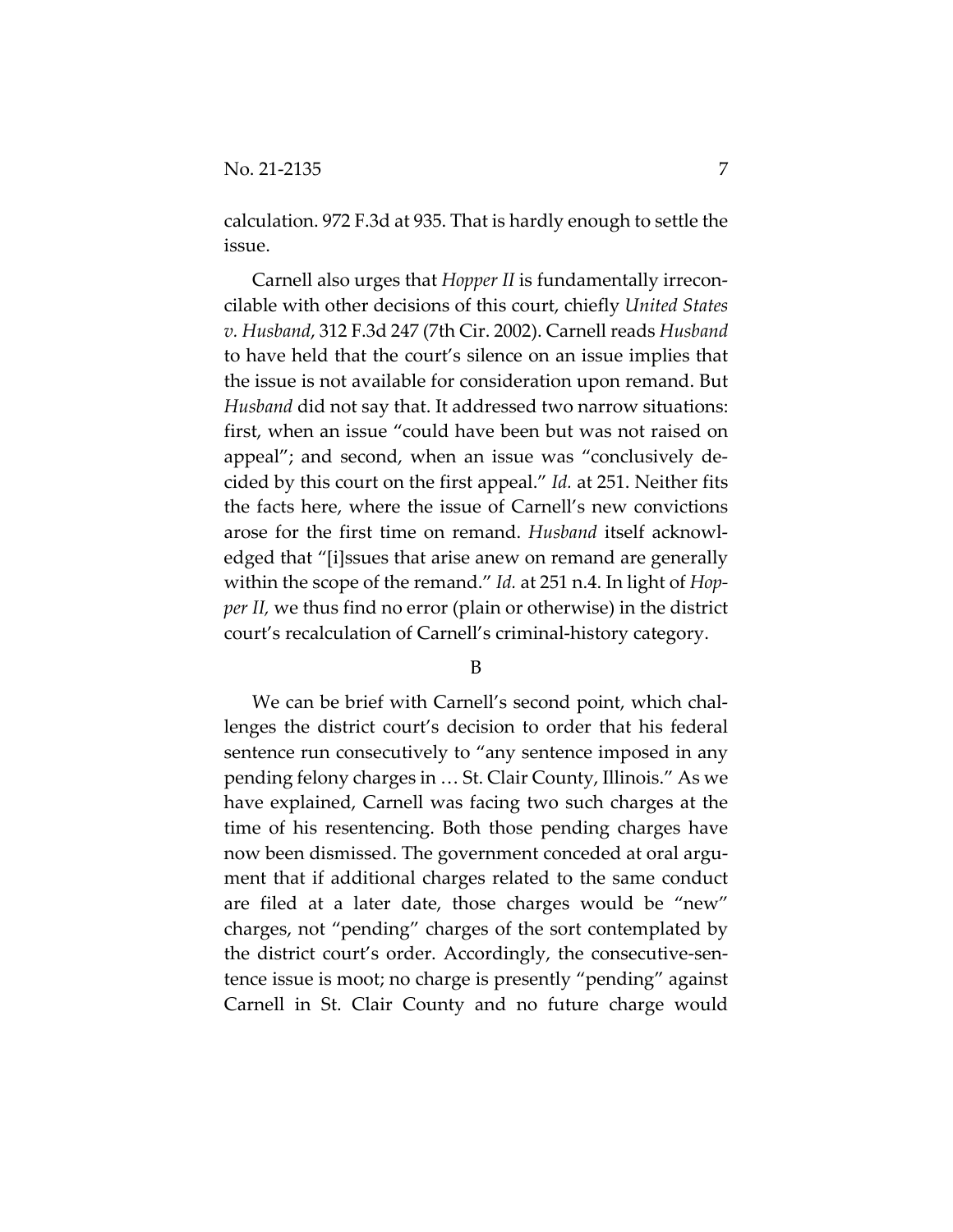calculation. 972 F.3d at 935. That is hardly enough to settle the issue.

Carnell also urges that *Hopper II* is fundamentally irreconcilable with other decisions of this court, chiefly *United States v. Husband*, 312 F.3d 247 (7th Cir. 2002). Carnell reads *Husband* to have held that the court's silence on an issue implies that the issue is not available for consideration upon remand. But *Husband* did not say that. It addressed two narrow situations: first, when an issue "could have been but was not raised on appeal"; and second, when an issue was "conclusively decided by this court on the first appeal." *Id.* at 251. Neither fits the facts here, where the issue of Carnell's new convictions arose for the first time on remand. *Husband* itself acknowledged that "[i]ssues that arise anew on remand are generally within the scope of the remand." *Id.* at 251 n.4. In light of *Hopper II,* we thus find no error (plain or otherwise) in the district court's recalculation of Carnell's criminal-history category.

B

We can be brief with Carnell's second point, which challenges the district court's decision to order that his federal sentence run consecutively to "any sentence imposed in any pending felony charges in … St. Clair County, Illinois." As we have explained, Carnell was facing two such charges at the time of his resentencing. Both those pending charges have now been dismissed. The government conceded at oral argument that if additional charges related to the same conduct are filed at a later date, those charges would be "new" charges, not "pending" charges of the sort contemplated by the district court's order. Accordingly, the consecutive-sentence issue is moot; no charge is presently "pending" against Carnell in St. Clair County and no future charge would